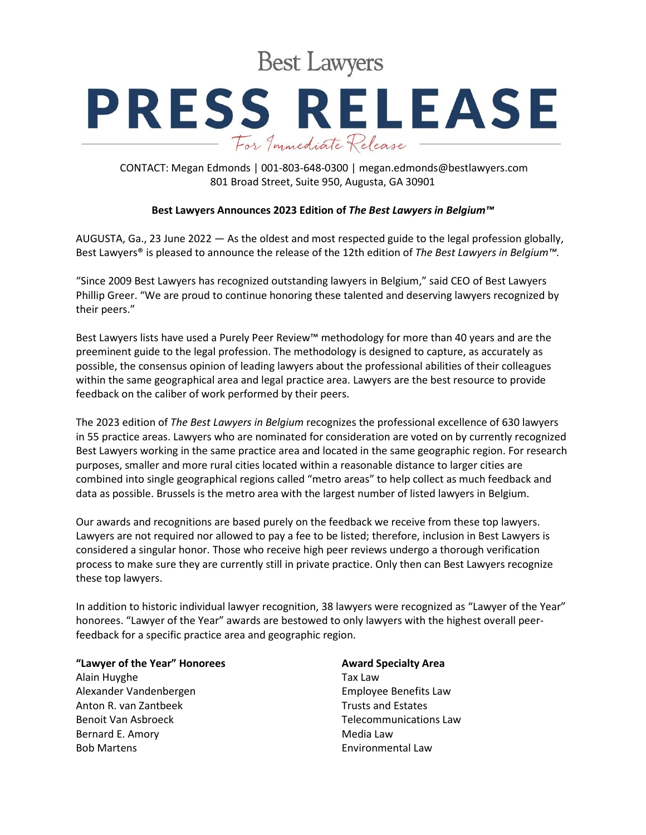**Best Lawyers** 

## **PRESS RELEASE** For Immediate Release

CONTACT: Megan Edmonds | 001-803-648-0300 | megan.edmonds@bestlawyers.com 801 Broad Street, Suite 950, Augusta, GA 30901

## **Best Lawyers Announces 2023 Edition of** *The Best Lawyers in Belgium™*

AUGUSTA, Ga., 23 June 2022 — As the oldest and most respected guide to the legal profession globally, Best Lawyers® is pleased to announce the release of the 12th edition of *The Best Lawyers in Belgium™.*

"Since 2009 Best Lawyers has recognized outstanding lawyers in Belgium," said CEO of Best Lawyers Phillip Greer. "We are proud to continue honoring these talented and deserving lawyers recognized by their peers."

Best Lawyers lists have used a Purely Peer Review™ methodology for more than 40 years and are the preeminent guide to the legal profession. The methodology is designed to capture, as accurately as possible, the consensus opinion of leading lawyers about the professional abilities of their colleagues within the same geographical area and legal practice area. Lawyers are the best resource to provide feedback on the caliber of work performed by their peers.

The 2023 edition of *The Best Lawyers in Belgium* recognizes the professional excellence of 630 lawyers in 55 practice areas. Lawyers who are nominated for consideration are voted on by currently recognized Best Lawyers working in the same practice area and located in the same geographic region. For research purposes, smaller and more rural cities located within a reasonable distance to larger cities are combined into single geographical regions called "metro areas" to help collect as much feedback and data as possible. Brussels is the metro area with the largest number of listed lawyers in Belgium.

Our awards and recognitions are based purely on the feedback we receive from these top lawyers. Lawyers are not required nor allowed to pay a fee to be listed; therefore, inclusion in Best Lawyers is considered a singular honor. Those who receive high peer reviews undergo a thorough verification process to make sure they are currently still in private practice. Only then can Best Lawyers recognize these top lawyers.

In addition to historic individual lawyer recognition, 38 lawyers were recognized as "Lawyer of the Year" honorees. "Lawyer of the Year" awards are bestowed to only lawyers with the highest overall peerfeedback for a specific practice area and geographic region.

**"Lawyer of the Year" Honorees**

Alain Huyghe Alexander Vandenbergen Anton R. van Zantbeek Benoit Van Asbroeck Bernard E. Amory Bob Martens

## **Award Specialty Area**

Tax Law Employee Benefits Law Trusts and Estates Telecommunications Law Media Law Environmental Law